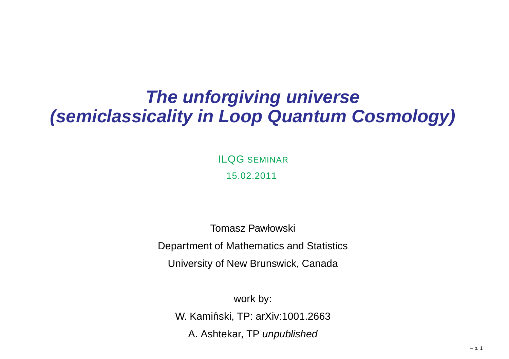#### **The unforgiving universe(semiclassicality in Loop Quantum Cosmology)**

ILQG SEMINAR 15.02.2011

Tomasz Pawłowski Department of Mathematics and StatisticsUniversity of New Brunswick, Canada

work by: W. Kamiński, TP: arXiv:1001.2663 A. Ashtekar, TP *unpublished*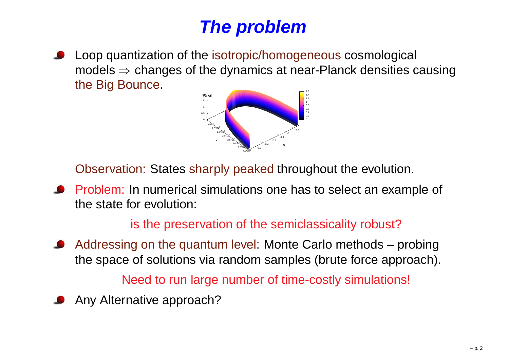# **The problem**

Loop quantization of the isotropic/homogeneous cosmological models ⇒ changes of the dynamics at near-Planck densities causing<br>the Big Bounce the Big Bounce.



Observation: States sharply peaked throughout the evolution.

Problem: In numerical simulations one has to select an example of the state for evolution:

#### is the preservation of the semiclassicality robust?

Addressing on the quantum level: Monte Carlo methods – probingthe space of solutions via random samples (brute force approach).

Need to run large number of time-costly simulations!

Any Alternative approach?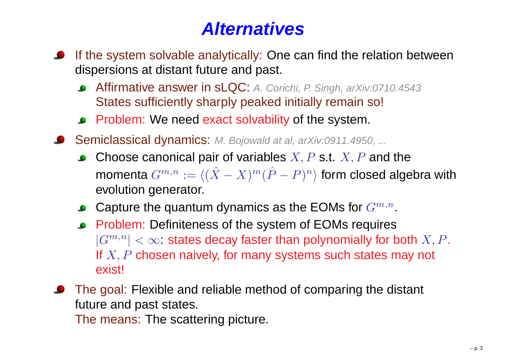# **Alternatives**

- If the system solvable analytically: One can find the relation betweendispersions at distant future and past.
	- Affirmative answer in sLQC: A. Corichi, P. Singh, arXiv:0710.4543States sufficiently sharply peaked initially remain so!
	- Problem: We need exact solvability of the system.
- Semiclassical dynamics: M. Bojowald at al, arXiv:0911.4950, ...
	- Choose canonical pair of variables  $X,P$  s.t.  $X,P$  and the momenta  $G^{m,n} := \langle (\hat{X} \rangle )^n$  $\mathbf{v}$   $\mathbf{v}$  $(X - X)^m(\hat{P} - P)^n$  form closed algebra with evolution generator.
	- Capture the quantum dynamics as the EOMs for  $G^{m,n}.$
	- Problem: Definiteness of the system of EOMs requires $|G^{m,n}|<\infty$ : states decay faster than polynomially for both  $X,P.$ If  $X, P$  chosen naively, for many systems such states may not exist!

The goal: Flexible and reliable method of comparing the distant future and past states.

The means: The scattering picture.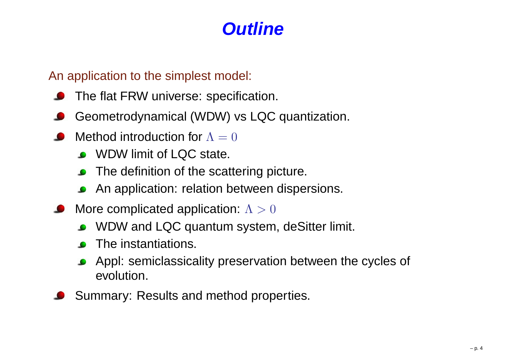## **Outline**

An application to the simplest model:

- The flat FRW universe: specification.
- Geometrodynamical (WDW) vs LQC quantization.
- Method introduction for  $\Lambda=0$ 
	- WDW limit of LQC state.
	- The definition of the scattering picture.
	- An application: relation between dispersions.
- More complicated application:  $\Lambda > 0$ 
	- WDW and LQC quantum system, deSitter limit.
	- The instantiations.
	- Appl: semiclassicality preservation between the cycles of evolution.
- Summary: Results and method properties.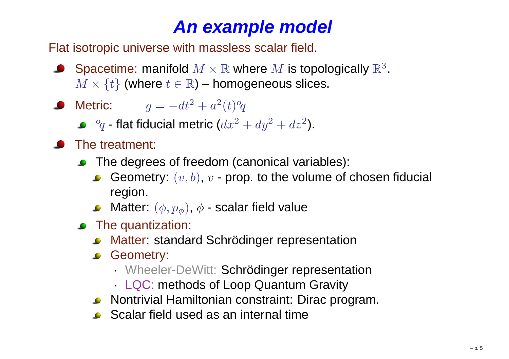# **An example model**

Flat isotropic universe with massless scalar field.

- Spacetime: manifold  $M \times \mathbb{R}$  where  $M$  is topologically  $\mathbb{R}^3$ <br> $M \times L^1$  (where  $t \in \mathbb{R}$ ) bomogeneous slices  $M\times\{t\}$  (where  $t\in\mathbb{R}$ ) – homogeneous slices. .
- Metric:  $g=-dt^2$  $^{2}+a^{2}$  $^{2}(t)^{o}$  $\mathcal{C}$

 $\theta_{\alpha}$  flot fiducial matric  ${^o\!q}$  - flat fiducial metric ( $dx^2$  $^{2}+dy^{2}$  $^{2}+dz^{2}$ ).

- The treatment:
	- **C** The degrees of freedom (canonical variables):
		- Geometry:  $(v, b)$ ,  $v$  prop. to the volume of chosen fiducial region.
		- Matter:  $(\phi,p_{\phi})$ ,  $\phi$  scalar field value
	- **•** The quantization:
		- Matter: standard Schrödinger representation
		- **C** Geometry:
			- ·Wheeler-DeWitt: Schrödinger representation
			- ·LQC: methods of Loop Quantum Gravity
		- Nontrivial Hamiltonian constraint: Dirac program.
		- **Scalar field used as an internal time**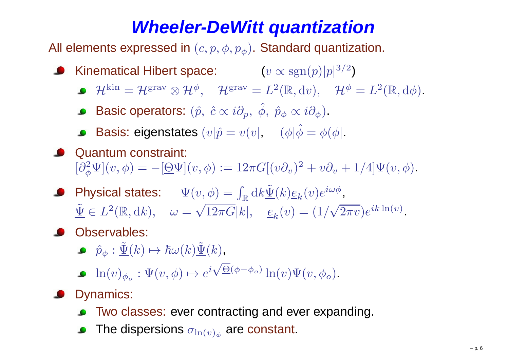# **Wheeler-DeWitt quantization**

All elements expressed in  $(c, p, \phi, p_\phi)$ . Standard quantization.

- Kinematical Hibert space:  $(v \propto \mathrm{sgn}(p) |p|^3$  $3/$ 2 $^{2})$ 
	- $\mathcal{H}^\text{kin}=\mathcal{H}^\text{grav}\otimes\mathcal{H}^\phi$  $, \quad {\cal H}^{\rm grav} = L^2$  $^{2}(\mathbb{R},\textup{d} v),\quad \mathcal{H}^{\phi}=L^{2}% (\mathbb{R},\textup{d} v),\quad \mathcal{H}^{\phi}=\mathcal{H}^{2}(\mathbb{R},\textup{d} v),\quad \mathcal{H}^{\phi}=\mathcal{H}^{2}(\mathbb{R},\textup{d} v),\quad \mathcal{H}^{\phi}=\mathcal{H}^{2}(\mathbb{R},\textup{d} v),$  $^{2}(\mathbb{R},\mathrm{d}\phi).$
	- Basic operators:  $(\hat{p}, \ \hat{c} \propto i\partial_p, \ \hat{\phi}, \ \hat{p}_\phi \propto i\partial_\phi)$ .
	- Basis: eigenstates  $(v|\hat p = v(v|, \quad (\phi|\hat \phi = \phi(\phi)).$
- **Quantum constraint:**  $[\partial_{\phi}^2$  $\partial_{\phi}^2\Psi](v,\phi)=-[\underline{\Theta}\Psi](v,\phi):=12\pi G[(v\partial_v)^2]$  $t^2 + v\partial_v + 1/4 \Psi(v, \phi).$
- Physical states:  $\quad \Psi(v,\phi) = \int_{\mathbb{R}} \text{d}k \tilde{\underline{\Psi}}(k) \underline{e}_k(v) e^{i\omega \phi}$ ,  $\tilde{\Psi} \in L^2(\mathbb{R},dk), \quad \omega = \sqrt{12\pi G}|k|, \quad e_k(v)$  $^{2}(\mathbb{R},\mathrm{d}k),\quad\omega=$  $\sqrt{12\pi G}|k|, \quad \underline{e}_k(v) = (1/\sqrt{2\pi v})e^{ik\ln(v)}.$
- **Observables:** 
	- $\hat{p}_\phi : \tilde{\underline{\Psi}}(k) \mapsto \hbar \omega(k) \tilde{\underline{\Psi}}(k)$ ,
	- $\ln(v)_{\phi_o} : \Psi(v, \phi) \mapsto e$  $i\sqrt{\underline{\Theta}}(\phi$  $^{-\phi_{o})}\ln(v)\Psi(v,\phi_{o}).$
- **O** Dynamics:
	- Two classes: ever contracting and ever expanding.
	- The dispersions  $\sigma_{\ln(v)_{\phi}}$  are constant.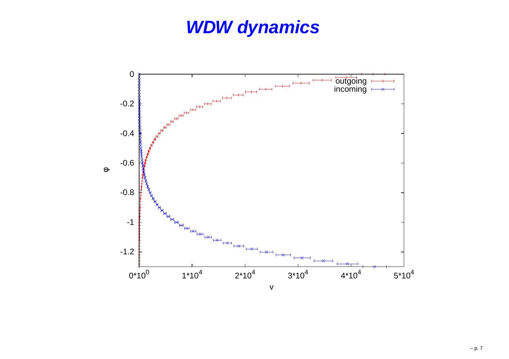# **WDW dynamics**

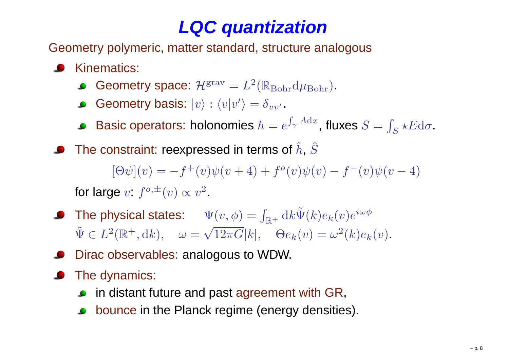# **LQC quantization**

Geometry polymeric, matter standard, structure analogous

- Kinematics:
	- Geometry space:  $\mathcal{H}^{\rm grav} = L^2(\mathbb{R}_{\rm Bohr} \mathrm{d} \mu_{\rm Bohr}).$
	- Geometry basis:  $|v\rangle$  :  $\langle v|v'\rangle = \delta_{vv'}$  .
	- Basic operators: holonomies  $h = e^{\int_{\gamma} A \mathrm{d}x}$ , fluxes  $S = \int_{S} \star E \mathrm{d}\sigma$ .
	- The constraint: reexpressed in terms of  $\hat{h}$ ,  $\hat{S}$  $[\Theta \psi](v) = -f^+(v)\psi(v+4) + f^o(v)\psi(v) - f^-(v)\psi(v-4)$ for large  $v: f^{o, \pm}(v) \propto v^2$ .
- The physical states:  $\Psi(v,\phi) = \int_{\mathbb{R}^+} \text{d}k \tilde{\Psi}(k) e_k(v) e^{i\omega \phi}$  $\tilde{\Psi} \in L^2(\mathbb{R}^+, \mathrm{d}k), \quad \omega = \sqrt{12\pi G}|k|, \quad \Theta e_k(v) = \omega^2(k)e_k(v).$
- Dirac observables: analogous to WDW.
- The dynamics:  $\bullet$ 
	- **•** in distant future and past agreement with GR,
	- bounce in the Planck regime (energy densities).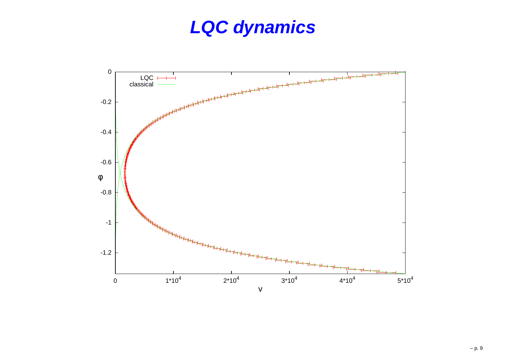# **LQC dynamics**

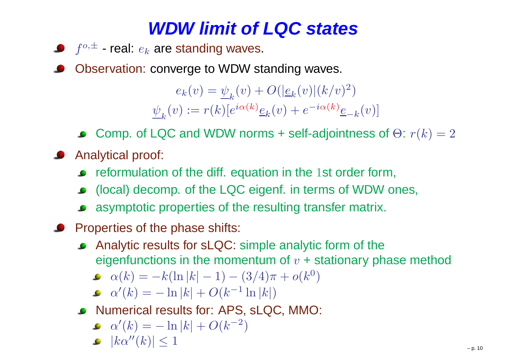# **WDW limit of LQC states**

- $f^{o,\pm}$  real:  $e_k$  are standing waves.
- Observation: converge to WDW standing waves.

 $e_k(v) = \psi_k(v) + O(|\underline{e}_k(v)| (k/v)^2)$  $\psi_{k}(v) := r(k)[e^{i\alpha(k)}\underline{e}_{k}(v) + e^{-i\alpha(k)}\underline{e}_{-k}(v)]$  $^{2})$ 

- Comp. of LQC and WDW norms + self-adjointness of  $\Theta$ :  $r(k)=2$
- **Analytical proof:** 
	- reformulation of the diff. equation in the  $1$ st order form,
	- (local) decomp. of the LQC eigenf. in terms of WDW ones,
	- asymptotic properties of the resulting transfer matrix.
- **Properties of the phase shifts:** 
	- Analytic results for sLQC: simple analytic form of the $\bullet$ eigenfunctions in the momentum of  $v$  + stationary phase method
		- $\alpha(k) =$ −−  $k(\ln |k| - 1)$  $-(3/4)\pi + o(k^0)$  $^{0})$
		- $\alpha'(k) = -\ln |k| + O(k^{-1} \ln |k|)$  $-\ln |k| + O(k^{-1} \ln |k|)$
	- Numerical results for: APS, sLQC, MMO:
		- $\alpha'(k) =$  $-\ln |k| + O(k^{-2})$  $^{2})$
		- $|k\alpha''(k)| \leq 1$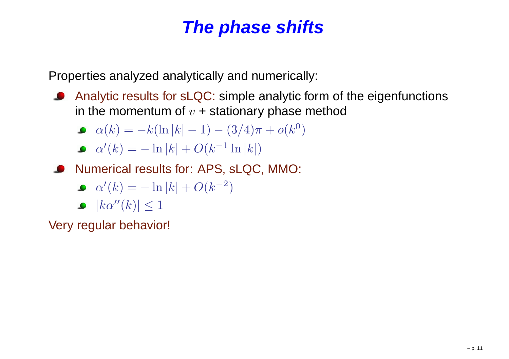# **The phase shifts**

Properties analyzed analytically and numerically:

Analytic results for sLQC: simple analytic form of the eigenfunctionsin the momentum of  $v$  + stationary phase method

• 
$$
\alpha(k) = -k(\ln |k| - 1) - (3/4)\pi + o(k^0)
$$

$$
\bullet \ \alpha'(k) = -\ln|k| + O(k^{-1}\ln|k|)
$$

Numerical results for: APS, sLQC, MMO:

$$
\bullet \ \alpha'(k) = -\ln|k| + O(k^{-2})
$$

 $|k\alpha''(k)| \leq 1$ 

Very regular behavior!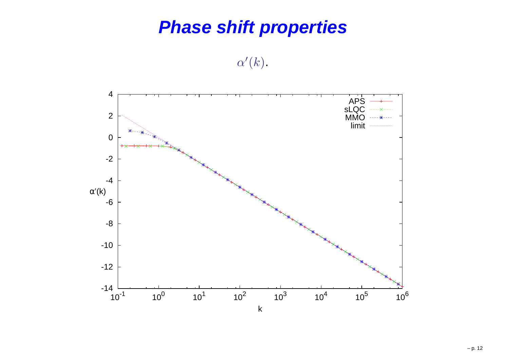#### **Phase shift properties**

 $\alpha'(k)$  .

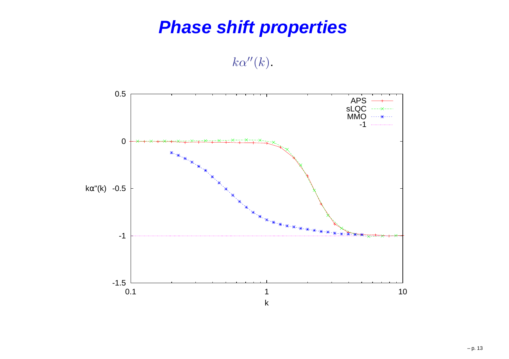# **Phase shift properties**

 $k\alpha^{\prime\prime}(k).$ 

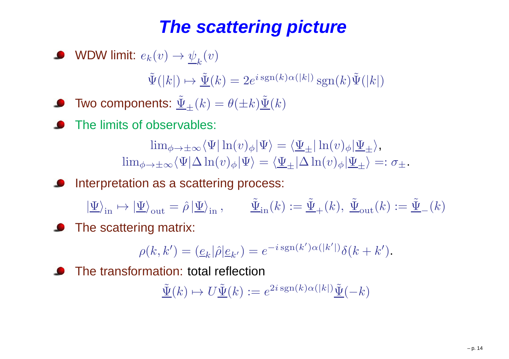# **The scattering picture**

• WDW limit: 
$$
e_k(v) \to \underline{\psi}_k(v)
$$

 $\tilde{\Psi}(|k|) \mapsto \underline{\tilde{\Psi}}(k) = 2e^{i \operatorname{sgn}(k)\alpha(|k|)} \operatorname{sgn}(k)\tilde{\Psi}(|k|)$ 

- Two components:  $\tilde{\underline{\Psi}}_{\pm}(k) = \theta(\pm k)\tilde{\underline{\Psi}}(k)$
- The limits of observables:

 $\lim_{\phi\rightarrow\pm\infty}\langle\Psi|\ln(v)_{\phi}|\Psi\rangle=\langle\Psi_{\pm}|\ln(v)_{\phi}|\Psi_{\pm}\rangle$  ,  $\sim$   $\sim$   $\sim$   $\sim$   $\sim$   $\sim$   $\sim$   $\sim$  $\lim_{\phi\to\pm\infty}\langle\Psi|\Delta\ln(v)_{\phi}|\Psi\rangle=\langle\Psi_{\pm}|\Delta\ln(v)_{\phi}|\Psi_{\pm}\rangle=:\sigma_{\pm}.$ 

 Interpretation as <sup>a</sup> scattering process:  $\bullet$ 

 $|\Psi\rangle_{\text{in}} \mapsto |\Psi\rangle_{\text{out}} = \hat{\rho} |\Psi\rangle_{\text{in}}, \qquad \tilde{\Psi}_{\text{in}}(k) := \tilde{\Psi}_{+}(k), \ \tilde{\Psi}_{\text{out}}(k) := \tilde{\Psi}_{-}(k)$ 

**•** The scattering matrix:

$$
\rho(k,k') = (\underline{e}_k|\hat{\rho}|\underline{e}_{k'}) = e^{-i \operatorname{sgn}(k')\alpha(|k'|)}\delta(k+k').
$$

The transformation: total reflection

$$
\underline{\tilde{\Psi}}(k) \mapsto U \underline{\tilde{\Psi}}(k) := e^{2i \operatorname{sgn}(k)\alpha(|k|)} \underline{\tilde{\Psi}}(-k)
$$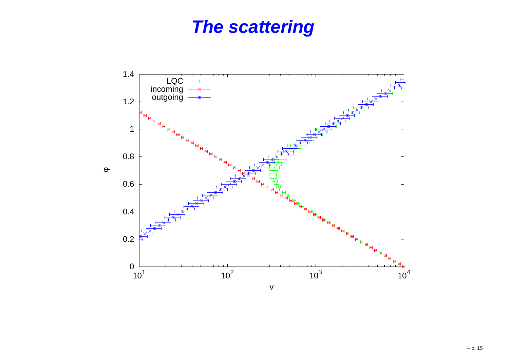#### **The scattering**

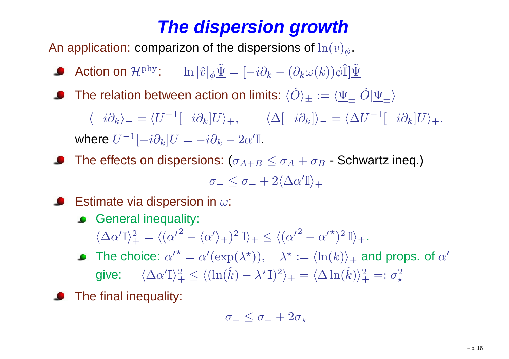# **The dispersion growth**

An application: comparizon of the dispersions of  $\ln(v)_{\phi}$  .

- Action on  ${\mathcal H}^{\rm phy}\colon\ \ \ \ \ \ \ \ln|\hat v|_\phi\tilde{\underline\Psi}=[-i\partial_k (\partial_k \omega(k))\phi\hat{\mathbb{I}}]\tilde{\underline{\Psi}}$
- The relation between action on limits:  $\langle \hat{O} \rangle_{\pm} := \langle \underline{\Psi}_{\pm} | \hat{O} | \underline{\Psi}_{\pm} \rangle$

 $\langle -i\partial_k\rangle_-=\langle U^{-1}$  $\langle \Delta[-i\partial_k] U\rangle_+, \qquad \langle \Delta[-i\partial_k] \rangle_- = \langle \Delta U^{-1} \rangle$  $^{-1}[-i\partial_{k}]U\rangle_{+}.$ where  $U^{-1}$  $\begin{aligned} \mathbb{1}[-i\partial_{k}]U=-i\partial_{k}-2\alpha'\mathbb{I}. \end{aligned}$ 

The effects on dispersions:  $(\sigma_{A+B}\leq\sigma_{A}+\sigma_{B}$  $_B$  - Schwartz ineq.)

$$
\sigma_- \leq \sigma_+ + 2 \langle \Delta \alpha' \mathbb{I} \rangle_+
$$

- Estimate via dispersion in  $\omega$ :
	- **General inequality:**

 $\langle\Delta\alpha'\mathbb{I}\rangle_+^2$  $t_+^2=\langle(\alpha$  $\sqrt{2}$   $-\langle\alpha'\rangle_+)^2$  $^2$  I)  $_+$  $+\leq\langle(\alpha$  $^{\prime 2}$   $\alpha$  $\prime^{\star})^2$  $^{2}%$  II)  $_{+}$  .

- The choice:  ${\alpha'}^\star = \alpha'(\exp(\lambda^\star)), \quad \lambda^\star :=$ give:  $\langle \Delta \alpha' \mathbb{I} \rangle_+^2 \leq \langle (\ln(\hat{k}) - \lambda^\star \mathbb{I})^2 \rangle_+ = \langle \Delta \mathbb{I} \rangle$  $\alpha' = \alpha'(\exp(\lambda^*)), \quad \lambda^* := \langle \ln(k) \rangle_+$  $_+$  and props. of  $\alpha'$  $\pm$  $\frac{2}{\pi} \leq \langle (\ln(\hat{k}))$  $-\lambda^\star$  ${}^{\star}\mathbb{I})^2$  $\ket{\lambda^2} = \langle \Delta \ln(\hat k)\rangle^2_+$  $^{2}_{+} =: \sigma_{\star}^{2}$ ⋆
- The final inequality:

$$
\sigma_- \leq \sigma_+ + 2\sigma_\star
$$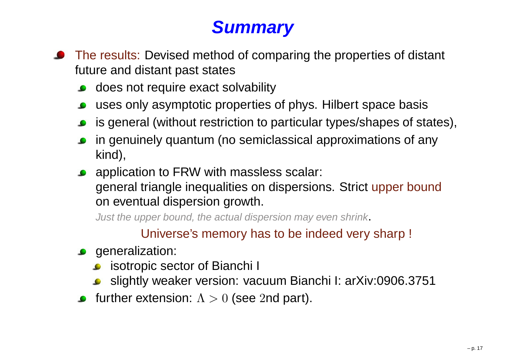# **Summary**

- **•** The results: Devised method of comparing the properties of distant future and distant past states
	- **o** does not require exact solvability
	- uses only asymptotic properties of phys. Hilbert space basis
	- is general (without restriction to particular types/shapes of states),
	- in genuinely quantum (no semiclassical approximations of anykind),
	- **•** application to FRW with massless scalar: general triangle inequalities on dispersions. Strict upper boundon eventual dispersion growth.

Just the upper bound, the actual dispersion may even shrink.

Universe's memory has to be indeed very sharp !

- **generalization:** 
	- **•** isotropic sector of Bianchi I
	- slightly weaker version: vacuum Bianchi I: arXiv:0906.3751
- further extension:  $\Lambda > 0$  (see  $2$ nd part).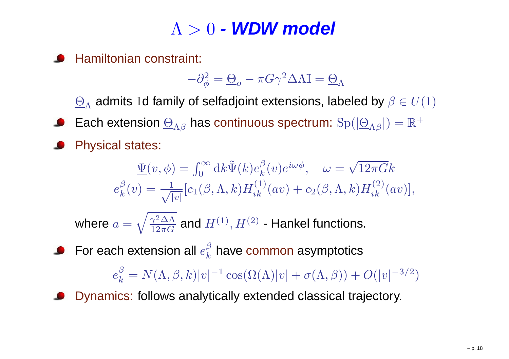# Λ <sup>&</sup>gt; <sup>0</sup> **- WDW model**

Hamiltonian constraint:

$$
-\partial_{\phi}^{2} = \underline{\Theta}_{o} - \pi G \gamma^{2} \Delta \Lambda \mathbb{I} = \underline{\Theta}_{\Lambda}
$$

 $\Theta_\Lambda$  admits  $1$ d family of selfadjoint extensions, labeled by  $\beta\in U(1)$ 

- Each extension  $\underline{\Theta}_{\Lambda\beta}$  has continuous spectrum:  $\mathrm{Sp}(|\underline{\Theta}_{\Lambda\beta}|)=\mathbb{R}^+$
- Physical states:

$$
\underline{\Psi}(v,\phi) = \int_0^\infty \mathrm{d}k \tilde{\Psi}(k) e_k^{\beta}(v) e^{i\omega\phi}, \quad \omega = \sqrt{12\pi G} k
$$
\n
$$
e_k^{\beta}(v) = \frac{1}{\sqrt{|v|}} [c_1(\beta,\Lambda,k) H_{ik}^{(1)}(av) + c_2(\beta,\Lambda,k) H_{ik}^{(2)}(av)],
$$
\nwhere  $a = \sqrt{\frac{\gamma^2 \Delta \Lambda}{12\pi G}}$  and  $H^{(1)}, H^{(2)}$  - Hankel functions.

For each extension all  $e_k^{\beta}$  have common asymptotics

 $e_k^{\beta}$  $\frac{\beta}{k} = N(\Lambda, \beta, k)|v|^{-1} \cos(\Omega(\Lambda)|v| + \sigma(\Lambda, \beta)) + O(|v|^{-3/2})$ 

Dynamics: follows analytically extended classical trajectory.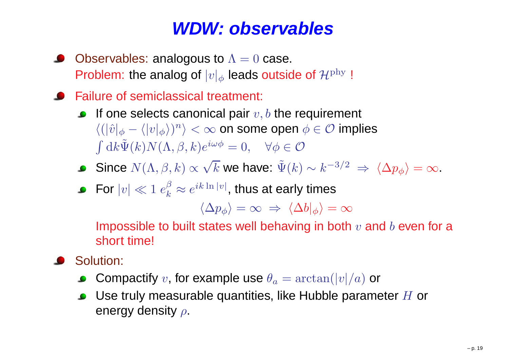#### **WDW: observables**

- Observables: analogous to  $\Lambda=0$  case. Problem: the analog of  $|v|_\phi$  leads outside of  $\mathcal{H}^\text{phy}$ |<br>|
- Failure of semiclassical treatment:
	- If one selects canonical pair  $v,b$  the requirement  $\langle (|\hat{v}|_\phi - \langle |v|_\phi \rangle)^n \rangle$  $\int \mathrm{d}k \tilde{\Psi}(k) N(\Lambda, \beta, k) e^{i\omega \phi} = 0, \quad \forall \phi \in \mathcal{O}$  $\ket{m} < \infty$  on some open  $\phi \in \mathcal{O}$  implies
	- Since  $N(\Lambda, \beta, k) \propto \sqrt{k}$  we have:  $\tilde{\Psi}(k) \sim k^{-3}$  $3/$ 2 $^2\;\Rightarrow\;\langle\Delta p_{\phi}\rangle=\infty.$
	- For  $|v| \ll 1 \; e_k^\beta \approx e^{i k \ln |v|},$  thus at early times

$$
\langle \Delta p_\phi \rangle = \infty \; \Rightarrow \; \langle \Delta b |_ \phi \rangle = \infty
$$

Impossible to built states well behaving in both  $v$  and  $b$  even for a short time!

- Solution:
	- Compactify  $v$ , for example use  $\theta_a$  $a = \arctan(|v|/a)$  or
	- Use truly measurable quantities, like Hubble parameter  $H$  or<br>energy density  $\varepsilon$ energy density  $\rho.$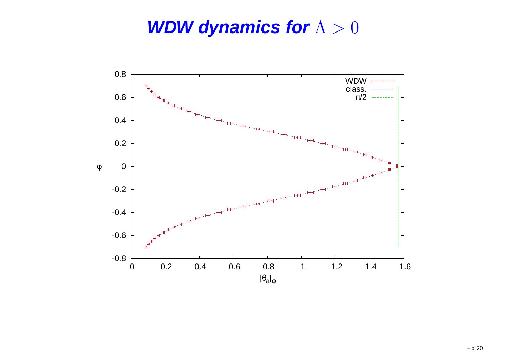#### **WDW dynamics for**Λ>0

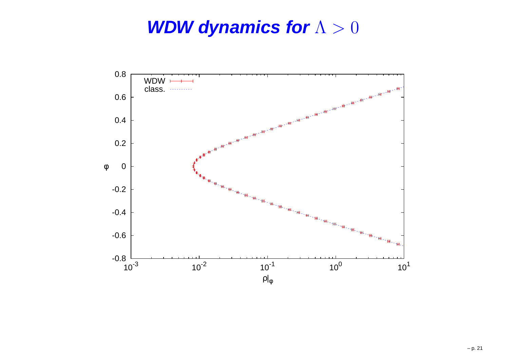### **WDW dynamics for**Λ>0

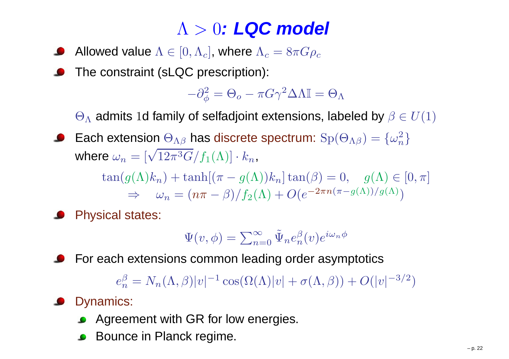# Λ <sup>&</sup>gt; <sup>0</sup>**: LQC model**

- Allowed value  $\Lambda \in [0,\Lambda_c]$ , where  $\Lambda_c = 8\pi G \rho_c$
- The constraint (sLQC prescription):

$$
-\partial_{\phi}^{2} = \Theta_{o} - \pi G \gamma^{2} \Delta \Lambda \mathbb{I} = \Theta_{\Lambda}
$$

 $\Theta_\Lambda$  admits  $1$ d family of selfadjoint extensions, labeled by  $\beta\in U(1)$ 

Each extension  $\Theta_{\Lambda\beta}$  has discrete spectrum:  $\mathrm{Sp}(\Theta_{\Lambda\beta})=\{\omega_n^2\}$ where  $\omega_n = [\sqrt{12\pi^3G}/f_1(\Lambda)] \cdot k_n$ ,

> $\tan(g(\Lambda)k_n) + \tanh[(\pi - g(\Lambda))k_n] \tan(\beta) = 0, \quad g(\Lambda) \in [0, \pi]$  $\Rightarrow \quad \omega_n = (n\pi - \beta)/f_2(\Lambda) + O(e^{-2\pi n(\pi - g(\Lambda))/g(\Lambda)})$

Physical states:

$$
\Psi(v,\phi) = \sum_{n=0}^{\infty} \tilde{\Psi}_n e_n^{\beta}(v) e^{i\omega_n \phi}
$$

For each extensions common leading order asymptotics

 $e_n^\beta$  $\frac{\beta}{n} = N_n(\Lambda, \beta)|v|^{-1} \cos(\Omega(\Lambda)|v| + \sigma(\Lambda, \beta)) + O(|v|^{-3/2})$ 

#### **O** Dynamics:

- **Agreement with GR for low energies.**
- Bounce in Planck regime.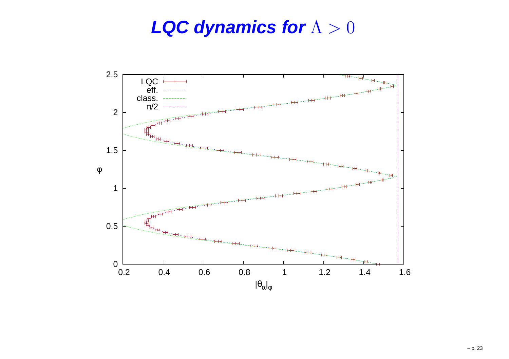# **LQC dynamics for**Λ>0

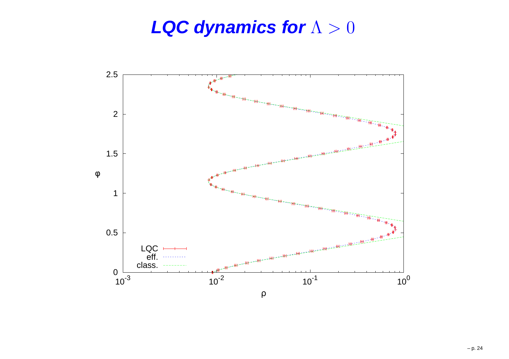#### **LQC dynamics for**Λ>0

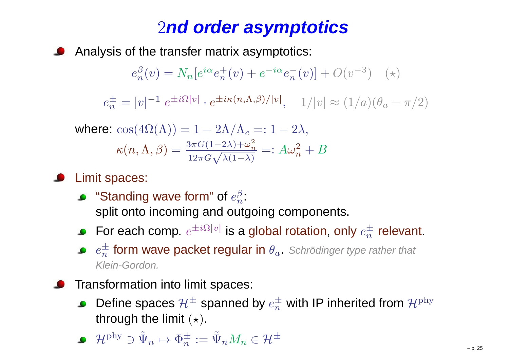# <sup>2</sup>**nd order asymptotics**

Analysis of the transfer matrix asymptotics:

$$
e_n^{\beta}(v) = N_n[e^{i\alpha}e_n^+(v) + e^{-i\alpha}e_n^-(v)] + O(v^{-3}) \quad (*)
$$

 $e_n^{\pm}$  $\frac{1}{n} = |v|^{-1} e^{\pm i\Omega|v|} \cdot e^{\pm i\kappa(n,\Lambda,\beta)/|v|}, \quad 1/|v| \approx (1/a)(\theta_a - \pi/2)$ 

where: 
$$
\cos(4\Omega(\Lambda)) = 1 - 2\Lambda/\Lambda_c =: 1 - 2\lambda
$$
,  
\n
$$
\kappa(n, \Lambda, \beta) = \frac{3\pi G(1 - 2\lambda) + \omega_n^2}{12\pi G\sqrt{\lambda(1 - \lambda)}} =: A\omega_n^2 + B
$$

- Limit spaces:
	- "Standing wave form" of  $e_n^\beta$ : split onto incoming and outgoing components.
	- For each comp.  $e^{\pm i \Omega |v|}$  is a global rotation, only  $e^{\pm}_n$  relevant.
	- $e_n^{\pm}$  form wave packet regular in  $\theta_a$ . Schrödinger type rather that  $\mathcal{C}_a$ Klein-Gordon.
- Transformation into limit spaces:
	- Define spaces  $\mathcal{H}^\pm$  spanned by  $e_n^\pm$  with IP inherited from  $\mathcal{H}^\text{phy}$ through the limit  $(\star)$ .

$$
\bullet \quad \mathcal{H}^{\text{phy}} \ni \tilde{\Psi}_n \mapsto \Phi_n^{\pm} := \tilde{\Psi}_n M_n \in \mathcal{H}^{\pm}
$$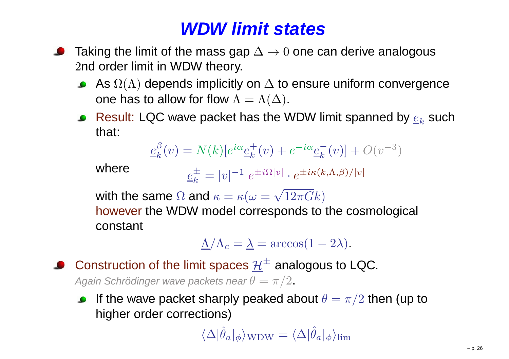## **WDW limit states**

- Taking the limit of the mass gap  $\Delta\rightarrow0$  one can derive analogous <sup>2</sup>nd order limit in WDW theory.
	- As  $\Omega(\Lambda)$  depends implicitly on  $\Delta$  to ensure uniform convergence<br>ana bas to allow far flow  $\Lambda$ one has to allow for flow  $\Lambda = \Lambda(\Delta).$
	- Result: LQC wave packet has the WDW limit spanned by  $\underline{e}_k$  $_k$  such that:

$$
\underline{e}_{k}^{\beta}(v) = N(k)[e^{i\alpha}\underline{e}_{k}^{+}(v) + e^{-i\alpha}\underline{e}_{k}^{-}(v)] + O(v^{-3})
$$

where

$$
\underline{e}_k^{\pm} = |v|^{-1} e^{\pm i\Omega|v|} \cdot e^{\pm i\kappa(k,\Lambda,\beta)/|v|}
$$

with the same  $\Omega$  and  $\kappa = \kappa(\omega = \sqrt{12\pi G}k)$ 

 however the WDW model corresponds to the cosmological constant

$$
\underline{\Lambda}/\Lambda_c = \underline{\lambda} = \arccos(1 - 2\lambda).
$$

Construction of the limit spaces  $\underline{\mathcal{H}}^\pm$  analogous to LQC. Again Schrödinger wave packets near  $\theta=\pi/2.$ 

If the wave packet sharply peaked about  $\theta=\pi/2$  then (up to<br>bishes exdex corrections)  $\bullet$ higher order corrections)

 $\langle\Delta|\hat{\theta}_a|\phi\rangle_{\rm WDW}=\langle\Delta|\hat{\theta}_a|\phi\rangle_{\rm lim}$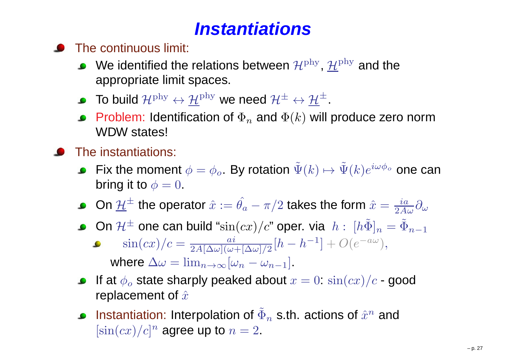# **Instantiations**

#### The continuous limit:

- We identified the relations between  $\mathcal{H}^\text{phy},$   $\underline{\mathcal{H}}^\text{phy}$  and the appropriate limit spaces.
- To build  $\mathcal{H}^{\rm phy} \leftrightarrow \underline{\mathcal{H}}^{\rm phy}$  we need  $\mathcal{H}^{\pm} \leftrightarrow \underline{\mathcal{H}}^{\pm}.$
- Problem: Identification of  $\Phi_n$  and  $\Phi(k)$  will produce zero norm WDW states!
- The instantiations:
	- Fix the moment  $\phi=\phi_o$ . By rotation  $\tilde{\Psi}(k)\mapsto \tilde{\Psi}(k)e^{i\omega\phi_o}$  one can<br>bring it to  $\phi=0$ bring it to  $\phi=0$ .
	- On  $\underline{\mathcal{H}}^\pm$  the operator  $\hat{x}:=\hat{\theta_a}-\pi/2$  takes the form  $\hat{x}=\frac{ia}{2A\omega}\partial_\omega$
	- On  $\mathcal{H}^\pm$  one can build " $\sin(cx)/c$ " oper. via  $\; h$  :  $\; [h\tilde{\Phi}]_n = \tilde{\Phi}_{n-1}$ 
		- $\sin(cx)/c = \frac{ai}{2A[\Delta\omega](\omega + [\Delta\omega]/2} [h h^{-1}] + O(e^{-a\omega}),$ where  $\Delta \omega = \lim_{n \to \infty} [\omega_n - \omega_{n-1}]$ .
	- If at  $\phi_o$  state sharply peaked about  $x=0\colon \sin(cx)/c$  good replacement of  $\hat{x}$
	- Instantiation: Interpolation of  $\tilde{\Phi}_n$  s.th. actions of  $\hat{x}^n$  and  $[\sin(cx)/c]^n$  agree up to  $n=2.$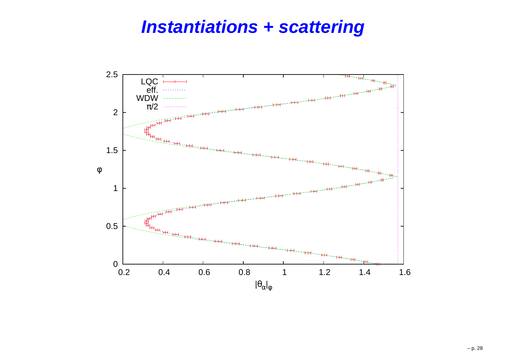#### **Instantiations <sup>+</sup> scattering**

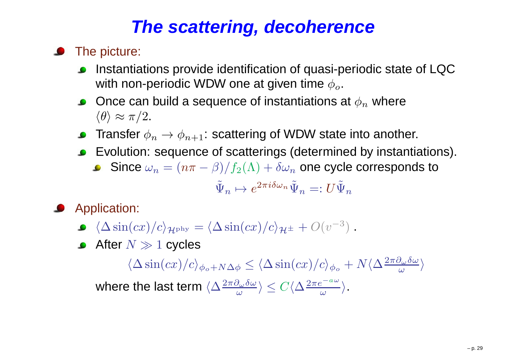## **The scattering, decoherence**

- **•** The picture:
	- Instantiations provide identification of quasi-periodic state of LQCwith non-periodic WDW one at given time  $\phi_o.$
	- Once can build a sequence of instantiations at  $\phi_n$  $_n$  where  $\langle \theta \rangle \approx \pi/2.$
	- Transfer  $\phi_n\to\phi_{n+1}$ : scattering of WDW state into another.
	- $\ddot{\phantom{a}}$  Evolution: sequence of scatterings (determined by instantiations).
		- Since  $\omega_n$  $_n = (n\pi$  $\beta)/f_2(\Lambda)+\delta \omega$  $\, n \,$  $_n$  one cycle corresponds to

$$
\tilde{\Psi}_n \mapsto e^{2\pi i \delta \omega_n} \tilde{\Psi}_n =: U \tilde{\Psi}_n
$$

Application:

 $\langle\Delta \sin(cx)/c\rangle_{\mathcal{H}^\text{phy}}=\langle\Delta \sin(cx)/c\rangle_{\mathcal{H}^\pm}+O(v^{-3})$ ) .

After  $N\gg1$  cycles

 $\langle\Delta \sin(cx)/c\rangle_{\phi_o+N\Delta\phi}$  $\phi \leq \langle \Delta \sin(cx)/c \rangle_{\phi_o} + N \langle \Delta \frac{2\pi \partial}{\phi}$  $\partial_\omega\delta\omega$  $\frac{\partial_\omega o \omega}{\omega} \rangle$ where the last term  $\langle \Delta \frac{2 \pi \partial}{\partial \theta} \rangle$  $\partial_\omega\delta\omega$  ω $\frac{\partial_{\omega}\delta\omega}{\omega}\rangle\leq C\langle\Delta\frac{2\pi e}{\omega}\rangle$  $\it a$ ω $\frac{2}{\omega}$ .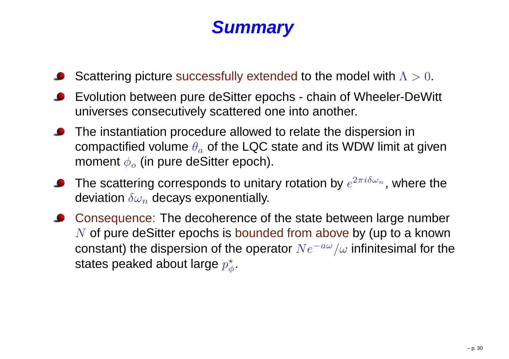#### **Summary**

- Scattering picture successfully extended to the model with  $\Lambda > 0.$
- Evolution between pure deSitter epochs chain of Wheeler-DeWitt universes consecutively scattered one into another.
- The instantiation procedure allowed to relate the dispersion incompactified volume  $\theta_a$  of the LQC state and its WDW limit at given moment  $\phi_o$  (in pure deSitter epoch).
- The scattering corresponds to unitary rotation by  $e^{2\pi i \delta \omega_n}$ , where the deviation  $\delta \omega_n$  decays exponentially.
- Consequence: The decoherence of the state between large number $N$  of pure deSitter epochs is bounded from above by (up to a known constant) the dispersion of the operator  $N e^{-a\omega}/\omega$  infinitesimal for the states peaked about large  $p^\star_\phi.$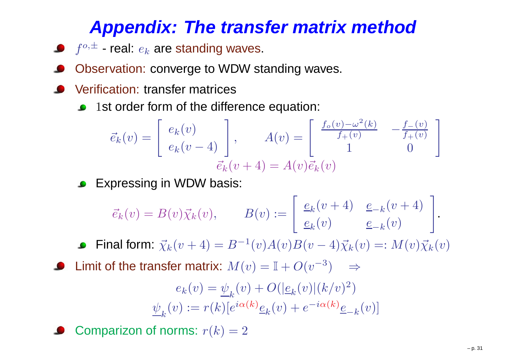## **Appendix: The transfer matrix method**

- $f^{o,\pm}$  real:  $e_k$  are standing waves.
- Observation: converge to WDW standing waves.
- Verification: transfer matrices
	- <sup>1</sup>st order form of the difference equation:  $\bullet$

$$
\vec{e}_k(v) = \begin{bmatrix} e_k(v) \\ e_k(v-4) \\ \vec{e}_k(v+4) \end{bmatrix}, \qquad A(v) = \begin{bmatrix} \frac{f_o(v) - \omega^2(k)}{f_+(v)} & -\frac{f_-(v)}{f_+(v)} \\ 1 & 0 \end{bmatrix}
$$

Expressing in WDW basis:

$$
\vec{e}_k(v) = B(v)\vec{\chi}_k(v), \qquad B(v) := \begin{bmatrix} \frac{e_k(v+4)}{e_k(v)} & \frac{e_{-k}(v+4)}{e_{-k}(v)} \end{bmatrix}.
$$

Final form:  $\vec{\chi}_{k}(v+4) = B^{-1}$  $^{1}(v)A(v)B(v (-4)\vec{\chi}$  $k(v) =: M(v) \vec{\chi}_k(v)$ 

Limit of the transfer matrix:  $M(v) = \mathbb{I} + O(v^{-3})$  $^{3})$   $\Rightarrow$ 

$$
e_k(v) = \underline{\psi}_k(v) + O(|\underline{e}_k(v)|(k/v)^2)
$$

$$
\underline{\psi}_k(v) := r(k)[e^{i\alpha(k)}\underline{e}_k(v) + e^{-i\alpha(k)}\underline{e}_{-k}(v)]
$$

Comparizon of norms:  $r(k) = 2$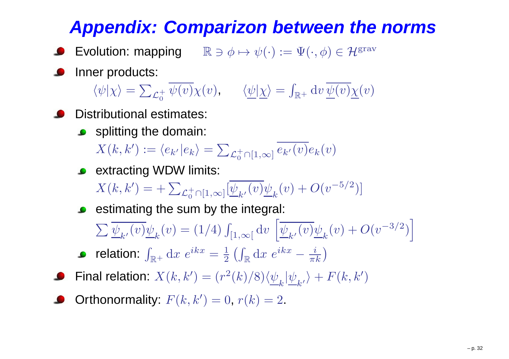# **Appendix: Comparizon between the norms**

- Evolution: mapping  $\qquad \mathbb{R} \ni \phi \mapsto \psi(\cdot) := \Psi(\cdot, \phi) \in \mathcal{H}^{\rm grav}$
- Inner products:

 $\langle \psi | \chi \rangle = \sum_{\mathcal{L}_{\alpha}^+}$  $_{0}^{+}\,\psi(v)\chi(v),\qquad \langle\underline{\psi}|\underline{\chi}\rangle=$  $\int_{\mathbb{R}^+} \mathrm{d} v \, \underline{\psi}(v) \underline{\chi}(v)$ 

- Distributional estimates:
	- **Splitting the domain:**  $X(k,k') := \langle e_{k'} | e_{k} \rangle = \sum_{\mathcal{L}_0^+}$  $_{0}^{+}$ ∩[1, $\infty$ ]  $e_{k^{\prime}}(v)e_{k}(v)$
	- extracting WDW limits:  $X(k,k')=+\sum_{\mathcal{L}_0^+}$  $_{0}^{+}$ <sub>0</sub>[1, $\infty$ ] $[\underline{\psi}_{k^{\prime}}(v)\underline{\psi}_{k}(v)+O(v^{-\prime}% )]$ 5 $^{5/2})]\$
	- $\bullet$  estimating the sum by the integral:  $\sum \underline{\psi}_{k'}($  $(v) \underline{\psi}_k(v) = (1/4) \int_{[1,\infty[} \mathrm{d} v)$  $\sqrt{2}$  $\frac{\psi}{k'}$  (  $v) \underline{\psi}_k(v) + O($  $v^-$
	- relation:  $\int_{\mathbb{R}^+} \mathrm{d} x\; e^{ikx}$  $=1$  $\frac{1}{2} \left( \int_{\mathbb{R}} \mathrm{d} x \; e^{ikx} \right)$  $-\frac{i}{\pi k}$
- Final relation:  $X(k,k^{\prime})=(r^2$  $\langle k^2(k)/8 \rangle \langle \underline{\psi}_k|\underline{\psi}_{k'}\rangle + F(k, k')$
- Orthonormality:  $F(k, k') = 0$ ,  $r(k) = 2$ .

3 $3/$ 2 $^{2})$ |<br>|<br>|